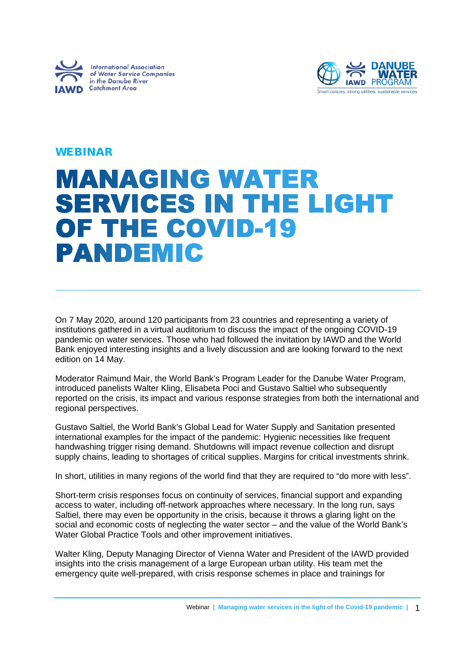



## WEBINAR

# **MANAGING WATER SERVICES IN THE LIGHT** OF THE COVID-19 **PANDEMIC**

On 7 May 2020, around 120 participants from 23 countries and representing a variety of institutions gathered in a virtual auditorium to discuss the impact of the ongoing COVID-19 pandemic on water services. Those who had followed the invitation by IAWD and the World Bank enjoyed interesting insights and a lively discussion and are looking forward to the next edition on 14 May.

Moderator Raimund Mair, the World Bank's Program Leader for the Danube Water Program, introduced panelists Walter Kling, Elisabeta Poci and Gustavo Saltiel who subsequently reported on the crisis, its impact and various response strategies from both the international and regional perspectives.

Gustavo Saltiel, the World Bank's Global Lead for Water Supply and Sanitation presented international examples for the impact of the pandemic: Hygienic necessities like frequent handwashing trigger rising demand. Shutdowns will impact revenue collection and disrupt supply chains, leading to shortages of critical supplies. Margins for critical investments shrink.

In short, utilities in many regions of the world find that they are required to "do more with less".

Short-term crisis responses focus on continuity of services, financial support and expanding access to water, including off-network approaches where necessary. In the long run, says Saltiel, there may even be opportunity in the crisis, because it throws a glaring light on the social and economic costs of neglecting the water sector – and the value of the World Bank's Water Global Practice Tools and other improvement initiatives.

Walter Kling, Deputy Managing Director of Vienna Water and President of the IAWD provided insights into the crisis management of a large European urban utility. His team met the emergency quite well-prepared, with crisis response schemes in place and trainings for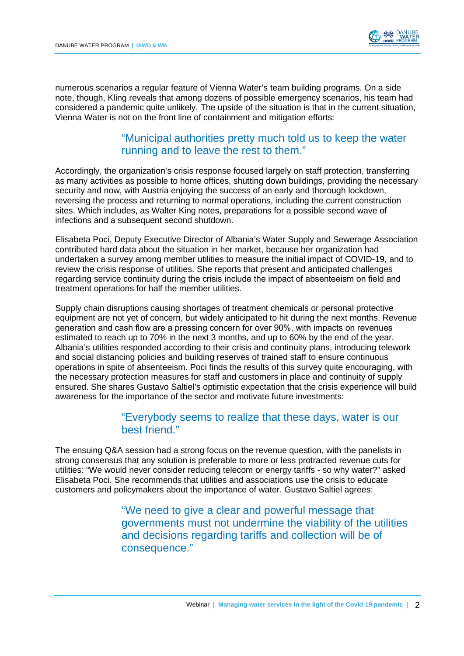

numerous scenarios a regular feature of Vienna Water's team building programs. On a side note, though, Kling reveals that among dozens of possible emergency scenarios, his team had considered a pandemic quite unlikely. The upside of the situation is that in the current situation, Vienna Water is not on the front line of containment and mitigation efforts:

### "Municipal authorities pretty much told us to keep the water running and to leave the rest to them."

Accordingly, the organization's crisis response focused largely on staff protection, transferring as many activities as possible to home offices, shutting down buildings, providing the necessary security and now, with Austria enjoying the success of an early and thorough lockdown, reversing the process and returning to normal operations, including the current construction sites. Which includes, as Walter King notes, preparations for a possible second wave of infections and a subsequent second shutdown.

Elisabeta Poci, Deputy Executive Director of Albania's Water Supply and Sewerage Association contributed hard data about the situation in her market, because her organization had undertaken a survey among member utilities to measure the initial impact of COVID-19, and to review the crisis response of utilities. She reports that present and anticipated challenges regarding service continuity during the crisis include the impact of absenteeism on field and treatment operations for half the member utilities.

Supply chain disruptions causing shortages of treatment chemicals or personal protective equipment are not yet of concern, but widely anticipated to hit during the next months. Revenue generation and cash flow are a pressing concern for over 90%, with impacts on revenues estimated to reach up to 70% in the next 3 months, and up to 60% by the end of the year. Albania's utilities responded according to their crisis and continuity plans, introducing telework and social distancing policies and building reserves of trained staff to ensure continuous operations in spite of absenteeism. Poci finds the results of this survey quite encouraging, with the necessary protection measures for staff and customers in place and continuity of supply ensured. She shares Gustavo Saltiel's optimistic expectation that the crisis experience will build awareness for the importance of the sector and motivate future investments:

### "Everybody seems to realize that these days, water is our best friend."

The ensuing Q&A session had a strong focus on the revenue question, with the panelists in strong consensus that any solution is preferable to more or less protracted revenue cuts for utilities: "We would never consider reducing telecom or energy tariffs - so why water?" asked Elisabeta Poci. She recommends that utilities and associations use the crisis to educate customers and policymakers about the importance of water. Gustavo Saltiel agrees:

> "We need to give a clear and powerful message that governments must not undermine the viability of the utilities and decisions regarding tariffs and collection will be of consequence."